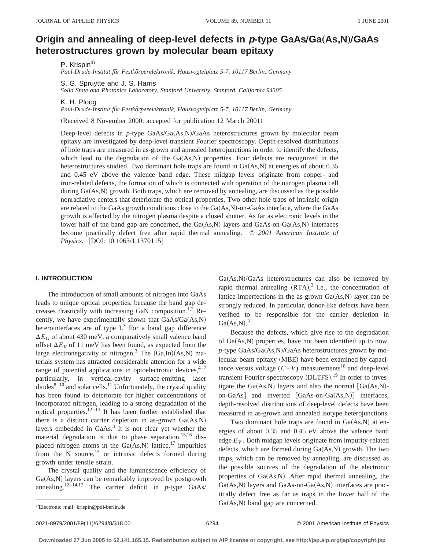# **Origin and annealing of deep-level defects in**  $p$ **-type GaAs/Ga(As,N)/GaAs heterostructures grown by molecular beam epitaxy**

P. Krispin<sup>a)</sup>

*Paul-Drude-Institut fu¨r Festko¨rperelektronik, Hausvogteiplatz 5-7, 10117 Berlin, Germany*

S. G. Spruytte and J. S. Harris

*Solid State and Photonics Laboratory, Stanford University, Stanford, California 94305*

K. H. Ploog

*Paul-Drude-Institut fu¨r Festko¨rperelektronik, Hausvogteiplatz 5-7, 10117 Berlin, Germany*

(Received 8 November 2000; accepted for publication 12 March 2001)

Deep-level defects in  $p$ -type GaAs/Ga $(As,N)/GaAs$  heterostructures grown by molecular beam epitaxy are investigated by deep-level transient Fourier spectroscopy. Depth-resolved distributions of hole traps are measured in as-grown and annealed heterojunctions in order to identify the defects, which lead to the degradation of the  $Ga(As,N)$  properties. Four defects are recognized in the heterostructures studied. Two dominant hole traps are found in  $Ga(As,N)$  at energies of about 0.35 and 0.45 eV above the valence band edge. These midgap levels originate from copper- and iron-related defects, the formation of which is connected with operation of the nitrogen plasma cell during  $Ga(As,N)$  growth. Both traps, which are removed by annealing, are discussed as the possible nonradiative centers that deteriorate the optical properties. Two other hole traps of intrinsic origin are related to the GaAs growth conditions close to the  $Ga(As,N)$ -on-GaAs interface, where the GaAs growth is affected by the nitrogen plasma despite a closed shutter. As far as electronic levels in the lower half of the band gap are concerned, the  $Ga(As,N)$  layers and  $GaAs-on-Ga(As,N)$  interfaces become practically defect free after rapid thermal annealing. © *2001 American Institute of Physics.* [DOI: 10.1063/1.1370115]

## **I. INTRODUCTION**

The introduction of small amounts of nitrogen into GaAs leads to unique optical properties, because the band gap decreases drastically with increasing GaN composition.<sup>1,2</sup> Recently, we have experimentally shown that  $GaAs/Ga(As,N)$ heterointerfaces are of type  $I<sup>3</sup>$  For a band gap difference  $\Delta E_G$  of about 430 meV, a comparatively small valence band offset  $\Delta E_V$  of 11 meV has been found, as expected from the large electronegativity of nitrogen.<sup>3</sup> The  $(Ga,In)(As,N)$  materials system has attracted considerable attention for a wide range of potential applications in optoelectronic devices, $4-7$ particularly, in vertical-cavity surface-emitting laser  $\frac{1}{\text{dodes}^{8-10}}$  and solar cells.<sup>11</sup> Unfortunately, the crystal quality has been found to deteriorate for higher concentrations of incorporated nitrogen, leading to a strong degradation of the optical properties.<sup>12–14</sup> It has been further established that there is a distinct carrier depletion in as-grown  $Ga(As,N)$ layers embedded in GaAs.3 It is not clear yet whether the material degradation is due to phase separation,  $15,16$  displaced nitrogen atoms in the  $Ga(As,N)$  lattice,<sup>17</sup> impurities from the N source, $^{13}$  or intrinsic defects formed during growth under tensile strain.

The crystal quality and the luminescence efficiency of Ga(As,N) layers can be remarkably improved by postgrowth annealing.<sup>12–14,17</sup> The carrier deficit in  $p$ -type GaAs/  $Ga(As,N)/GaAs$  heterostructures can also be removed by rapid thermal annealing  $(RTA),^3$  i.e., the concentration of lattice imperfections in the as-grown  $Ga(As,N)$  layer can be strongly reduced. In particular, donor-like defects have been verified to be responsible for the carrier depletion in  $Ga(As, N).$ <sup>3</sup>

Because the defects, which give rise to the degradation of  $Ga(As,N)$  properties, have not been identified up to now, *p*-type GaAs/Ga(As,N)/GaAs heterostructures grown by molecular beam epitaxy (MBE) have been examined by capacitance versus voltage  $(C-V)$  measurements<sup>18</sup> and deep-level transient Fourier spectroscopy (DLTFS).<sup>19</sup> In order to investigate the Ga(As,N) layers and also the normal  $[Ga(As,N)-]$ on-GaAs] and inverted  $[GaAs-on-Ga(As,N)]$  interfaces, depth-resolved distributions of deep-level defects have been measured in as-grown and annealed isotype heterojunctions.

Two dominant hole traps are found in  $Ga(As,N)$  at energies of about 0.35 and 0.45 eV above the valence band edge  $E_V$ . Both midgap levels originate from impurity-related defects, which are formed during  $Ga(As,N)$  growth. The two traps, which can be removed by annealing, are discussed as the possible sources of the degradation of the electronic properties of  $Ga(As,N)$ . After rapid thermal annealing, the  $Ga(As,N)$  layers and  $GaAs-on-Ga(As,N)$  interfaces are practically defect free as far as traps in the lower half of the  $Ga(As,N)$  band gap are concerned.

0021-8979/2001/89(11)/6294/8/\$18.00 6294 6294 6294 6294 6294 62001 American Institute of Physics

a)Electronic mail: krispin@pdi-berlin.de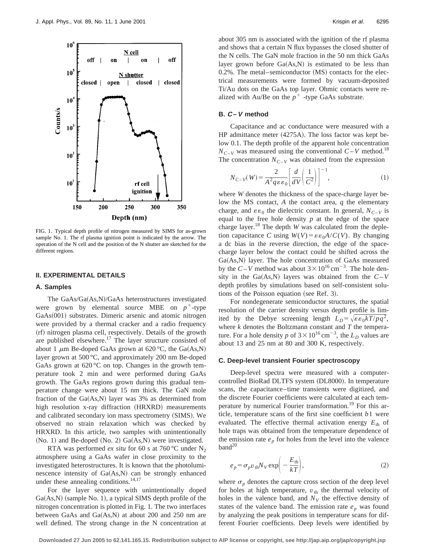

FIG. 1. Typical depth profile of nitrogen measured by SIMS for as-grown sample No. 1. The rf plasma ignition point is indicated by the arrow. The operation of the N cell and the position of the N shutter are sketched for the different regions.

### **II. EXPERIMENTAL DETAILS**

### **A. Samples**

The  $GaAs/Ga(As,N)/GaAs$  heterostructures investigated were grown by elemental source MBE on  $p^+$ -type GaAs(001) substrates. Dimeric arsenic and atomic nitrogen were provided by a thermal cracker and a radio frequency  $(rf)$  nitrogen plasma cell, respectively. Details of the growth are published elsewhere.<sup>17</sup> The layer structure consisted of about 1  $\mu$ m Be-doped GaAs grown at 620 °C, the Ga(As,N) layer grown at 500 °C, and approximately 200 nm Be-doped GaAs grown at  $620^{\circ}$ C on top. Changes in the growth temperature took 2 min and were performed during GaAs growth. The GaAs regions grown during this gradual temperature change were about 15 nm thick. The GaN mole fraction of the  $Ga(As,N)$  layer was 3% as determined from high resolution x-ray diffraction (HRXRD) measurements and calibrated secondary ion mass spectrometry (SIMS). We observed no strain relaxation which was checked by HRXRD. In this article, two samples with unintentionally  $(No. 1)$  and Be-doped  $(No. 2)$  Ga $(As,N)$  were investigated.

RTA was performed *ex situ* for 60 s at 760 °C under  $N_2$ atmosphere using a GaAs wafer in close proximity to the investigated heterostructures. It is known that the photoluminescence intensity of  $Ga(As,N)$  can be strongly enhanced under these annealing conditions.<sup>14,17</sup>

For the layer sequence with unintentionally doped  $Ga(As,N)$  (sample No. 1), a typical SIMS depth profile of the nitrogen concentration is plotted in Fig. 1. The two interfaces between GaAs and  $Ga(As,N)$  at about 200 and 250 nm are well defined. The strong change in the N concentration at about 305 nm is associated with the ignition of the rf plasma and shows that a certain N flux bypasses the closed shutter of the N cells. The GaN mole fraction in the 50 nm thick GaAs layer grown before  $Ga(As,N)$  is estimated to be less than  $0.2\%$ . The metal–semiconductor  $(MS)$  contacts for the electrical measurements were formed by vacuum-deposited Ti/Au dots on the GaAs top layer. Ohmic contacts were realized with Au/Be on the  $p^+$  -type GaAs substrate.

# **B. C –V method**

Capacitance and ac conductance were measured with a  $HP$  admittance meter  $(4275A)$ . The loss factor was kept below 0.1. The depth profile of the apparent hole concentration  $N_{C-V}$  was measured using the conventional  $C-V$  method.<sup>18</sup> The concentration  $N_{C-V}$  was obtained from the expression

$$
N_{C-V}(W) = \frac{2}{A^2 q \varepsilon \varepsilon_0} \left[ \frac{d}{dV} \left( \frac{1}{C^2} \right) \right]^{-1},\tag{1}
$$

where *W* denotes the thickness of the space-charge layer below the MS contact, *A* the contact area, *q* the elementary charge, and  $\varepsilon \varepsilon_0$  the dielectric constant. In general,  $N_{C-V}$  is equal to the free hole density *p* at the edge of the space charge layer.18 The depth *W* was calculated from the depletion capacitance *C* using  $W(V) = \varepsilon \varepsilon_0 A/C(V)$ . By changing a dc bias in the reverse direction, the edge of the spacecharge layer below the contact could be shifted across the  $Ga(As,N)$  layer. The hole concentration of GaAs measured by the  $C-V$  method was about  $3 \times 10^{16}$  cm<sup>-3</sup>. The hole density in the Ga(As,N) layers was obtained from the  $C-V$ depth profiles by simulations based on self-consistent solutions of the Poisson equation (see Ref. 3).

For nondegenerate semiconductor structures, the spatial resolution of the carrier density versus depth profile is limited by the Debye screening length  $L_D = \sqrt{\varepsilon \varepsilon_0 k T / p q^2}$ , where *k* denotes the Boltzmann constant and *T* the temperature. For a hole density *p* of  $3 \times 10^{16}$  cm<sup>-3</sup>, the  $L<sub>D</sub>$  values are about 13 and 25 nm at 80 and 300 K, respectively.

#### **C. Deep-level transient Fourier spectroscopy**

Deep-level spectra were measured with a computercontrolled BioRad DLTFS system (DL8000). In temperature scans, the capacitance–time transients were digitized, and the discrete Fourier coefficients were calculated at each temperature by numerical Fourier transformation.<sup>19</sup> For this article, temperature scans of the first sine coefficient *b*1 were evaluated. The effective thermal activation energy  $E_{th}$  of hole traps was obtained from the temperature dependence of the emission rate  $e_p$  for holes from the level into the valence  $band<sup>20</sup>$ 

$$
e_p = \sigma_p v_{\text{th}} N_V \exp\left(-\frac{E_{\text{th}}}{kT}\right),\tag{2}
$$

where  $\sigma_p$  denotes the capture cross section of the deep level for holes at high temperature,  $v_{\text{th}}$  the thermal velocity of holes in the valence band, and  $N_V$  the effective density of states of the valence band. The emission rate  $e_p$  was found by analyzing the peak positions in temperature scans for different Fourier coefficients. Deep levels were identified by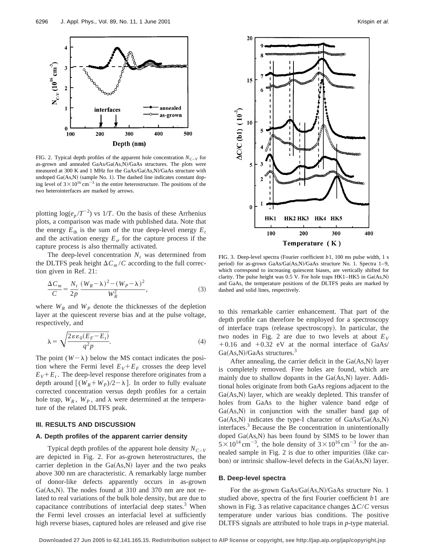

FIG. 2. Typical depth profiles of the apparent hole concentration  $N_{C-V}$  for as-grown and annealed GaAs/Ga(As,N)/GaAs structures. The plots were measured at 300 K and 1 MHz for the GaAs/Ga(As,N)/GaAs structure with undoped  $Ga(As,N)$  (sample No. 1). The dashed line indicates constant doping level of  $3 \times 10^{16}$  cm<sup>-3</sup> in the entire heterostructure. The positions of the two heterointerfaces are marked by arrows.

plotting  $\log(e_p/T^{-2})$  vs 1/*T*. On the basis of these Arrhenius plots, a comparison was made with published data. Note that the energy  $E_{\text{th}}$  is the sum of the true deep-level energy  $E_t$ and the activation energy  $E_{\sigma}$  for the capture process if the capture process is also thermally activated.

The deep-level concentration  $N_t$  was determined from the DLTFS peak height  $\Delta C_m/C$  according to the full correction given in Ref. 21:

$$
\frac{\Delta C_m}{C} = \frac{N_t}{2p} \frac{(W_R - \lambda)^2 - (W_P - \lambda)^2}{W_R^2},\tag{3}
$$

where  $W_R$  and  $W_P$  denote the thicknesses of the depletion layer at the quiescent reverse bias and at the pulse voltage, respectively, and

$$
\lambda = \sqrt{\frac{2\varepsilon\varepsilon_0(E_F - E_t)}{q^2 p}}.\tag{4}
$$

The point  $(W - \lambda)$  below the MS contact indicates the position where the Fermi level  $E_V + E_F$  crosses the deep level  $E_V + E_t$ . The deep-level response therefore originates from a depth around  $[(W_R+W_P)/2-\lambda]$ . In order to fully evaluate corrected concentration versus depth profiles for a certain hole trap,  $W_R$ ,  $W_P$ , and  $\lambda$  were determined at the temperature of the related DLTFS peak.

### **III. RESULTS AND DISCUSSION**

#### **A. Depth profiles of the apparent carrier density**

Typical depth profiles of the apparent hole density  $N_{C-V}$ are depicted in Fig. 2. For as-grown heterostructures, the carrier depletion in the  $Ga(As,N)$  layer and the two peaks above 300 nm are characteristic. A remarkably large number of donor-like defects apparently occurs in as-grown Ga $(As,N)$ . The nodes found at 310 and 370 nm are not related to real variations of the bulk hole density, but are due to capacitance contributions of interfacial deep states. $3$  When the Fermi level crosses an interfacial level at sufficiently high reverse biases, captured holes are released and give rise



FIG. 3. Deep-level spectra (Fourier coefficient *b*1, 100 ms pulse width, 1 s period) for as-grown GaAs/Ga(As,N)/GaAs structure No. 1. Spectra 1–9, which correspond to increasing quiescent biases, are vertically shifted for clarity. The pulse height was  $0.5$  V. For hole traps HK1–HK5 in Ga $(As,N)$ and GaAs, the temperature positions of the DLTFS peaks are marked by dashed and solid lines, respectively.

to this remarkable carrier enhancement. That part of the depth profile can therefore be employed for a spectroscopy of interface traps (release spectroscopy). In particular, the two nodes in Fig. 2 are due to two levels at about  $E_V$  $+0.16$  and  $+0.32$  eV at the normal interface of GaAs/  $Ga(As,N)/GaAs$  structures.<sup>3</sup>

After annealing, the carrier deficit in the  $Ga(As,N)$  layer is completely removed. Free holes are found, which are mainly due to shallow dopants in the  $Ga(As,N)$  layer. Additional holes originate from both GaAs regions adjacent to the  $Ga(As,N)$  layer, which are weakly depleted. This transfer of holes from GaAs to the higher valence band edge of  $Ga(As,N)$  in conjunction with the smaller band gap of  $Ga(As,N)$  indicates the type-I character of  $GaAs/Ga(As,N)$ interfaces.3 Because the Be concentration in unintentionally doped  $Ga(As,N)$  has been found by SIMS to be lower than  $5 \times 10^{14}$  cm<sup>-3</sup>, the hole density of  $3 \times 10^{16}$  cm<sup>-3</sup> for the annealed sample in Fig.  $2$  is due to other impurities (like carbon) or intrinsic shallow-level defects in the  $Ga(As,N)$  layer.

### **B. Deep-level spectra**

For the as-grown  $GaAs/Ga(As,N)/GaAs$  structure No. 1 studied above, spectra of the first Fourier coefficient *b*1 are shown in Fig. 3 as relative capacitance changes  $\Delta C/C$  versus temperature under various bias conditions. The positive DLTFS signals are attributed to hole traps in *p*-type material.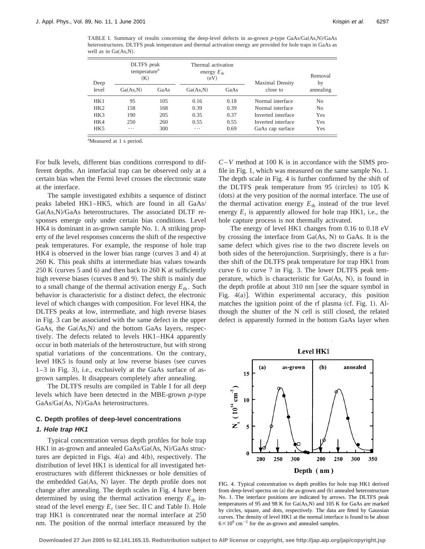TABLE I. Summary of results concerning the deep-level defects in as-grown  $p$ -type GaAs/Ga $(As,N)/GaAs$ heterostructures. DLTFS peak temperature and thermal activation energy are provided for hole traps in GaAs as well as in  $Ga(As, N)$ .

| Deep  | DLTFS peak<br>temperature <sup>a</sup><br>$\mathbf K$ |      | Thermal activation<br>energy $E_{\text{th}}$<br>(eV) |      | <b>Maximal Density</b> | Removal<br>by  |
|-------|-------------------------------------------------------|------|------------------------------------------------------|------|------------------------|----------------|
| level | Ga(As, N)                                             | GaAs | Ga(As, N)                                            | GaAs | close to               | annealing      |
| HK1   | 95                                                    | 105  | 0.16                                                 | 0.18 | Normal interface       | No             |
| HK2   | 158                                                   | 168  | 0.39                                                 | 0.39 | Normal interface       | N <sub>o</sub> |
| HK3   | 190                                                   | 205  | 0.35                                                 | 0.37 | Inverted interface     | Yes            |
| HK4   | 250                                                   | 260  | 0.55                                                 | 0.55 | Inverted interface     | Yes            |
| HK5   | .                                                     | 300  | $\cdots$                                             | 0.69 | GaAs cap surface       | Yes            |

<sup>a</sup>Measured at 1 s period.

For bulk levels, different bias conditions correspond to different depths. An interfacial trap can be observed only at a certain bias when the Fermi level crosses the electronic state at the interface.

The sample investigated exhibits a sequence of distinct peaks labeled HK1–HK5, which are found in all GaAs/  $Ga(As,N)/GaAs$  heterostructures. The associated DLTF responses emerge only under certain bias conditions. Level HK4 is dominant in as-grown sample No. 1. A striking property of the level responses concerns the shift of the respective peak temperatures. For example, the response of hole trap  $HK4$  is observed in the lower bias range (curves 3 and 4) at 260 K. This peak shifts at intermediate bias values towards  $250 K$  (curves 5 and 6) and then back to  $260 K$  at sufficiently high reverse biases (curves 8 and 9). The shift is mainly due to a small change of the thermal activation energy  $E_{th}$ . Such behavior is characteristic for a distinct defect, the electronic level of which changes with composition. For level HK4, the DLTFS peaks at low, intermediate, and high reverse biases in Fig. 3 can be associated with the same defect in the upper GaAs, the  $Ga(As,N)$  and the bottom GaAs layers, respectively. The defects related to levels HK1–HK4 apparently occur in both materials of the heterostructure, but with strong spatial variations of the concentrations. On the contrary, level HK5 is found only at low reverse biases (see curves  $1-3$  in Fig. 3), i.e., exclusively at the GaAs surface of asgrown samples. It disappears completely after annealing.

The DLTFS results are compiled in Table I for all deep levels which have been detected in the MBE-grown *p*-type  $GaAs/Ga(As, N)/GaAs$  heterostructures.

# **C. Depth profiles of deep-level concentrations**

### **1. Hole trap HK1**

Typical concentration versus depth profiles for hole trap HK1 in as-grown and annealed  $GaAs/Ga(As, N)/GaAs$  structures are depicted in Figs.  $4(a)$  and  $4(b)$ , respectively. The distribution of level HK1 is identical for all investigated heterostructures with different thicknesses or hole densities of the embedded  $Ga(As, N)$  layer. The depth profile does not change after annealing. The depth scales in Fig. 4 have been determined by using the thermal activation energy  $E_{th}$  instead of the level energy  $E_t$  (see Sec. II C and Table I). Hole trap HK1 is concentrated near the normal interface at 250 nm. The position of the normal interface measured by the *C*–*V* method at 100 K is in accordance with the SIMS profile in Fig. 1, which was measured on the same sample No. 1. The depth scale in Fig. 4 is further confirmed by the shift of the DLTFS peak temperature from  $95$  (circles) to  $105$  K (dots) at the very position of the normal interface. The use of the thermal activation energy  $E<sub>th</sub>$  instead of the true level energy  $E_t$  is apparently allowed for hole trap HK1, i.e., the hole capture process is not thermally activated.

The energy of level HK1 changes from 0.16 to 0.18 eV by crossing the interface from  $Ga(As, N)$  to  $GaAs$ . It is the same defect which gives rise to the two discrete levels on both sides of the heterojunction. Surprisingly, there is a further shift of the DLTFS peak temperature for trap HK1 from curve 6 to curve 7 in Fig. 3. The lower DLTFS peak temperature, which is characteristic for  $Ga(As, N)$ , is found in the depth profile at about 310 nm [see the square symbol in Fig.  $4(a)$ ]. Within experimental accuracy, this position matches the ignition point of the rf plasma  $(cf. Fig. 1)$ . Although the shutter of the N cell is still closed, the related defect is apparently formed in the bottom GaAs layer when



FIG. 4. Typical concentration vs depth profiles for hole trap HK1 derived from deep-level spectra on (a) the as-grown and (b) annealed heterostructure No. 1. The interface positions are indicated by arrows. The DLTFS peak temperatures of 95 and 98 K for  $Ga(As,N)$  and 105 K for GaAs are marked by circles, square, and dots, respectively. The data are fitted by Gaussian curves. The density of level HK1 at the normal interface is found to be about  $6\times10^{9}$  cm<sup>-2</sup> for the as-grown and annealed samples.

**Downloaded 27 Jun 2005 to 62.141.165.15. Redistribution subject to AIP license or copyright, see http://jap.aip.org/jap/copyright.jsp**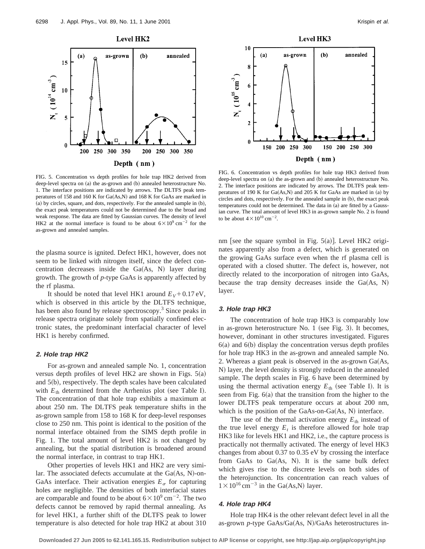

FIG. 5. Concentration vs depth profiles for hole trap HK2 derived from deep-level spectra on (a) the as-grown and (b) annealed heterostructure No. 1. The interface positions are indicated by arrows. The DLTFS peak temperatures of 158 and 160 K for  $Ga(As,N)$  and 168 K for  $GaAs$  are marked in  $(a)$  by circles, square, and dots, respectively. For the annealed sample in  $(b)$ , the exact peak temperatures could not be determined due to the broad and weak response. The data are fitted by Gaussian curves. The density of level HK2 at the normal interface is found to be about  $6\times10^{9}$  cm<sup>-2</sup> for the as-grown and annealed samples.

the plasma source is ignited. Defect HK1, however, does not seem to be linked with nitrogen itself, since the defect concentration decreases inside the  $Ga(As, N)$  layer during growth. The growth of *p*-type GaAs is apparently affected by the rf plasma.

It should be noted that level HK1 around  $E_V + 0.17 \text{ eV}$ , which is observed in this article by the DLTFS technique, has been also found by release spectroscopy.<sup>3</sup> Since peaks in release spectra originate solely from spatially confined electronic states, the predominant interfacial character of level HK1 is hereby confirmed.

### **2. Hole trap HK2**

For as-grown and annealed sample No. 1, concentration versus depth profiles of level HK2 are shown in Figs.  $5(a)$ and  $5(b)$ , respectively. The depth scales have been calculated with  $E_{th}$  determined from the Arrhenius plot (see Table I). The concentration of that hole trap exhibits a maximum at about 250 nm. The DLTFS peak temperature shifts in the as-grown sample from 158 to 168 K for deep-level responses close to 250 nm. This point is identical to the position of the normal interface obtained from the SIMS depth profile in Fig. 1. The total amount of level HK2 is not changed by annealing, but the spatial distribution is broadened around the normal interface, in contrast to trap HK1.

Other properties of levels HK1 and HK2 are very similar. The associated defects accumulate at the  $Ga(As, N)$ -on-GaAs interface. Their activation energies  $E_{\sigma}$  for capturing holes are negligible. The densities of both interfacial states are comparable and found to be about  $6 \times 10^9$  cm<sup>-2</sup>. The two defects cannot be removed by rapid thermal annealing. As for level HK1, a further shift of the DLTFS peak to lower temperature is also detected for hole trap HK2 at about 310



FIG. 6. Concentration vs depth profiles for hole trap HK3 derived from deep-level spectra on (a) the as-grown and (b) annealed heterostructure No. 2. The interface positions are indicated by arrows. The DLTFS peak temperatures of 190 K for  $Ga(As,N)$  and 205 K for GaAs are marked in (a) by circles and dots, respectively. For the annealed sample in (b), the exact peak temperatures could not be determined. The data in (a) are fitted by a Gaussian curve. The total amount of level HK3 in as-grown sample No. 2 is found to be about  $4 \times 10^{10}$  cm<sup>-2</sup>.

nm [see the square symbol in Fig.  $5(a)$ ]. Level HK2 originates apparently also from a defect, which is generated on the growing GaAs surface even when the rf plasma cell is operated with a closed shutter. The defect is, however, not directly related to the incorporation of nitrogen into GaAs, because the trap density decreases inside the  $Ga(As, N)$ layer.

### **3. Hole trap HK3**

The concentration of hole trap HK3 is comparably low in as-grown heterostructure No. 1 (see Fig. 3). It becomes, however, dominant in other structures investigated. Figures  $6(a)$  and  $6(b)$  display the concentration versus depth profiles for hole trap HK3 in the as-grown and annealed sample No. 2. Whereas a giant peak is observed in the as-grown  $Ga(As,$ N) layer, the level density is strongly reduced in the annealed sample. The depth scales in Fig. 6 have been determined by using the thermal activation energy  $E_{th}$  (see Table I). It is seen from Fig.  $6(a)$  that the transition from the higher to the lower DLTFS peak temperature occurs at about 200 nm, which is the position of the GaAs-on-Ga $(As, N)$  interface.

The use of the thermal activation energy  $E_{th}$  instead of the true level energy  $E_t$  is therefore allowed for hole trap HK3 like for levels HK1 and HK2, i.e., the capture process is practically not thermally activated. The energy of level HK3 changes from about 0.37 to 0.35 eV by crossing the interface from GaAs to Ga $(As, N)$ . It is the same bulk defect which gives rise to the discrete levels on both sides of the heterojunction. Its concentration can reach values of  $1 \times 10^{16}$  cm<sup>-3</sup> in the Ga(As,N) layer.

# **4. Hole trap HK4**

Hole trap HK4 is the other relevant defect level in all the as-grown *p*-type GaAs/Ga(As, N)/GaAs heterostructures in-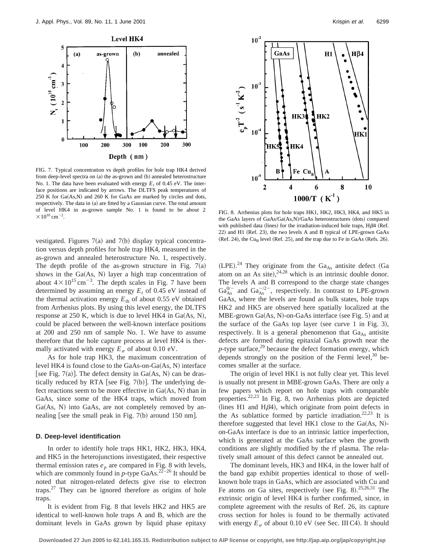

FIG. 7. Typical concentration vs depth profiles for hole trap HK4 derived from deep-level spectra on  $(a)$  the as-grown and  $(b)$  annealed heterostructure No. 1. The data have been evaluated with energy  $E_t$  of 0.45 eV. The interface positions are indicated by arrows. The DLTFS peak temperatures of  $250$  K for Ga $(As,N)$  and  $260$  K for GaAs are marked by circles and dots, respectively. The data in (a) are fitted by a Gaussian curve. The total amount of level HK4 in as-grown sample No. 1 is found to be about 2  $\times 10^{10}$  cm<sup>-2</sup>.

vestigated. Figures  $7(a)$  and  $7(b)$  display typical concentration versus depth profiles for hole trap HK4, measured in the as-grown and annealed heterostructure No. 1, respectively. The depth profile of the as-grown structure in Fig.  $7(a)$ shows in the  $Ga(As, N)$  layer a high trap concentration of about  $4 \times 10^{15}$  cm<sup>-3</sup>. The depth scales in Fig. 7 have been determined by assuming an energy  $E_t$  of 0.45 eV instead of the thermal activation energy  $E_{th}$  of about 0.55 eV obtained from Arrhenius plots. By using this level energy, the DLTFS response at 250 K, which is due to level HK4 in  $Ga(As, N)$ , could be placed between the well-known interface positions at 200 and 250 nm of sample No. 1. We have to assume therefore that the hole capture process at level HK4 is thermally activated with energy  $E_{\sigma}$  of about 0.10 eV.

As for hole trap HK3, the maximum concentration of level HK4 is found close to the GaAs-on-Ga $(As, N)$  interface [see Fig. 7(a)]. The defect density in  $Ga(As, N)$  can be drastically reduced by RTA [see Fig. 7(b)]. The underlying defect reactions seem to be more effective in  $Ga(As, N)$  than in GaAs, since some of the HK4 traps, which moved from  $Ga(As, N)$  into  $GaAs$ , are not completely removed by annealing [see the small peak in Fig. 7(b) around 150 nm].

### **D. Deep-level identification**

In order to identify hole traps HK1, HK2, HK3, HK4, and HK5 in the heterojunctions investigated, their respective thermal emission rates  $e_p$  are compared in Fig. 8 with levels, which are commonly found in  $p$ -type GaAs.<sup>22–26</sup> It should be noted that nitrogen-related defects give rise to electron traps.27 They can be ignored therefore as origins of hole traps.

It is evident from Fig. 8 that levels HK2 and HK5 are identical to well-known hole traps A and B, which are the dominant levels in GaAs grown by liquid phase epitaxy



. FIG. 8. Arrhenius plots for hole traps HK1, HK2, HK3, HK4, and HK5 in the GaAs layers of GaAs/Ga(As,N)/GaAs heterostructures (dots) compared with published data (lines) for the irradiation-induced hole traps,  $H\beta4$  (Ref. 22) and H1 (Ref. 23), the two levels A and B typical of LPE-grown GaAs  $(Ref. 24)$ , the Cu<sub>B</sub> level  $(Ref. 25)$ , and the trap due to Fe in GaAs  $(Refs. 26)$ .

 $(LPE).<sup>24</sup>$  They originate from the Ga<sub>As</sub> antisite defect (Ga atom on an As site),  $24.28$  which is an intrinsic double donor. The levels A and B correspond to the charge state changes  $Ga_{As}^{0/-}$  and  $Ga_{As}^{-/2-}$ , respectively. In contrast to LPE-grown GaAs, where the levels are found as bulk states, hole traps HK2 and HK5 are observed here spatially localized at the MBE-grown Ga $(As, N)$ -on-GaAs interface (see Fig. 5) and at the surface of the GaAs top layer (see curve 1 in Fig. 3), respectively. It is a general phenomenon that  $Ga<sub>As</sub>$  antisite defects are formed during epitaxial GaAs growth near the  $p$ -type surface,<sup>29</sup> because the defect formation energy, which depends strongly on the position of the Fermi level, $30$  becomes smaller at the surface.

The origin of level HK1 is not fully clear yet. This level is usually not present in MBE-grown GaAs. There are only a few papers which report on hole traps with comparable properties.22,23 In Fig. 8, two Arrhenius plots are depicted (lines H1 and H $\beta$ 4), which originate from point defects in the As sublattice formed by particle irradiation.<sup>22,23</sup> It is therefore suggested that level HK1 close to the  $Ga(As, N)$ on-GaAs interface is due to an intrinsic lattice imperfection, which is generated at the GaAs surface when the growth conditions are slightly modified by the rf plasma. The relatively small amount of this defect cannot be annealed out.

The dominant levels, HK3 and HK4, in the lower half of the band gap exhibit properties identical to those of wellknown hole traps in GaAs, which are associated with Cu and Fe atoms on Ga sites, respectively (see Fig. 8).  $25,26,31$  The extrinsic origin of level HK4 is further confirmed, since, in complete agreement with the results of Ref. 26, its capture cross section for holes is found to be thermally activated with energy  $E_{\sigma}$  of about 0.10 eV (see Sec. III C4). It should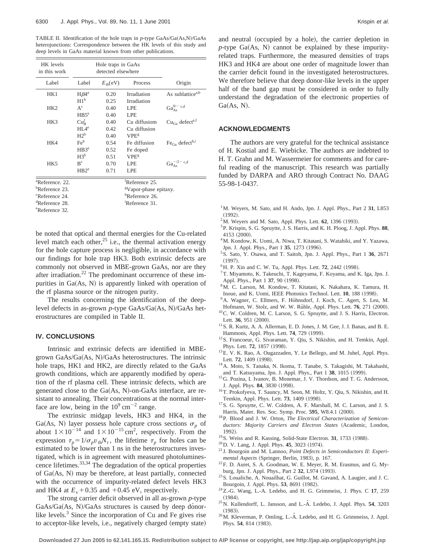TABLE II. Identification of the hole traps in p-type GaAs/Ga(As,N)/GaAs heterojunctions: Correspondence between the HK levels of this study and deep levels in GaAs material known from other publications.

| HK levels<br>in this work   |                                     | Hole traps in GaAs<br>detected elsewhere |                                  |                                   |  |
|-----------------------------|-------------------------------------|------------------------------------------|----------------------------------|-----------------------------------|--|
| Label                       | Label                               | $E_{\text{th}}$ (eV)                     | Process                          | Origin                            |  |
| HK1                         | $H\beta4^a$<br>H1 <sup>b</sup>      | 0.20<br>0.25                             | Irradiation<br>Irradiation       | As sublattice <sup>a,b</sup>      |  |
| HK <sub>2</sub>             | $A^c$<br>H B 5 <sup>e</sup>         | 0.40<br>0.40                             | LPE<br><b>LPE</b>                | $Ga_{As}^{0/- c,d}$               |  |
| HK3                         | $\mathrm{Cu}_{R}^{f}$               | 0.40                                     | Cu diffusiom                     | $CuGa$ defect <sup>e,f</sup>      |  |
|                             | HI A <sup>e</sup><br>$H2^b$         | 0.42<br>0.40                             | Cu diffusion<br>VPE <sup>g</sup> |                                   |  |
| HK4                         | Fe <sup>h</sup><br>HB3 <sup>e</sup> | 0.54<br>0.52                             | Fe diffusion<br>Fe doped         | $FeGa$ defect <sup>h,i</sup>      |  |
|                             | $H3^b$                              | 0.51                                     | VPE <sup>g</sup>                 |                                   |  |
| HK <sub>5</sub>             | $B^c$<br>HB2 <sup>e</sup>           | 0.70<br>0.71                             | LPE<br><b>LPE</b>                | $\rm Ga_{As}^{-/2-}$ $^{\rm c,d}$ |  |
| <sup>a</sup> Reference, 22. |                                     |                                          | <sup>f</sup> Reference 25.       |                                   |  |
| <sup>b</sup> Reference 23.  | <sup>g</sup> Vapor-phase epitaxy.   |                                          |                                  |                                   |  |

| <sup>b</sup> Reference 23. | <sup>g</sup> Vapor-phase epitaxy. |
|----------------------------|-----------------------------------|
| <sup>c</sup> Reference 24. | <sup>h</sup> Reference 26.        |
| <sup>d</sup> Reference 28. | <sup>1</sup> Reference 31.        |
| <sup>e</sup> Reference 32. |                                   |

be noted that optical and thermal energies for the Cu-related level match each other, $25$  i.e., the thermal activation energy for the hole capture process is negligible, in accordance with our findings for hole trap HK3. Both extrinsic defects are commonly not observed in MBE-grown GaAs, nor are they after irradiation.<sup>22</sup> The predominant occurrence of these impurities in  $Ga(As, N)$  is apparently linked with operation of the rf plasma source or the nitrogen purity.

The results concerning the identification of the deeplevel defects in as-grown *p*-type GaAs/Ga(As, N)/GaAs heterostructures are compiled in Table II.

## **IV. CONCLUSIONS**

Intrinsic and extrinsic defects are identified in MBEgrown GaAs/Ga(As, N)/GaAs heterostructures. The intrinsic hole traps, HK1 and HK2, are directly related to the GaAs growth conditions, which are apparently modified by operation of the rf plasma cell. These intrinsic defects, which are generated close to the  $Ga(As, N)$ -on-GaAs interface, are resistant to annealing. Their concentrations at the normal interface are low, being in the  $10^9$  cm<sup>-2</sup> range.

The extrinsic midgap levels, HK3 and HK4, in the Ga(As, N) layer possess hole capture cross sections  $\sigma_n$  of about  $1 \times 10^{-14}$  and  $1 \times 10^{-15}$  cm<sup>2</sup>, respectively. From the expression  $\tau_p = 1/\sigma_p v_{\text{th}} N_t$ , the lifetime  $\tau_p$  for holes can be estimated to be lower than 1 ns in the heterostructures investigated, which is in agreement with measured photoluminescence lifetimes.33,34 The degradation of the optical properties of  $Ga(As, N)$  may be therefore, at least partially, connected with the occurrence of impurity-related defect levels HK3 and HK4 at  $E<sub>v</sub>$  + 0.35 and +0.45 eV, respectively.

The strong carrier deficit observed in all as-grown *p*-type GaAs/Ga(As, N)/GaAs structures is caused by deep donorlike levels. $3$  Since the incorporation of Cu and Fe gives rise to acceptor-like levels, i.e., negatively charged (empty state) and neutral (occupied by a hole), the carrier depletion in  $p$ -type Ga(As, N) cannot be explained by these impurityrelated traps. Furthermore, the measured densities of traps HK3 and HK4 are about one order of magnitude lower than the carrier deficit found in the investigated heterostructures. We therefore believe that deep donor-like levels in the upper half of the band gap must be considered in order to fully understand the degradation of the electronic properties of  $Ga(As, N)$ .

### **ACKNOWLEDGMENTS**

The authors are very grateful for the technical assistance of H. Kostial and E. Wiebicke. The authors are indebted to H. T. Grahn and M. Wassermeier for comments and for careful reading of the manuscript. This research was partially funded by DARPA and ARO through Contract No. DAAG 55-98-1-0437.

- <sup>1</sup>M. Weyers, M. Sato, and H. Ando, Jpn. J. Appl. Phys., Part 2 31, L853  $(1992)$ .
- $^{2}$ M. Weyers and M. Sato, Appl. Phys. Lett.  $62$ , 1396 (1993).
- 3P. Krispin, S. G. Spruytte, J. S. Harris, and K. H. Ploog, J. Appl. Phys. **88**,  $4153 (2000)$
- 4M. Kondow, K. Uomi, A. Niwa, T. Kitatani, S. Watahiki, and Y. Yazawa, Jpn. J. Appl. Phys., Part 1 35, 1273 (1996).
- 5S. Sato, Y. Osawa, and T. Saitoh, Jpn. J. Appl. Phys., Part 1 **36**, 2671  $(1997).$
- <sup>6</sup> H. P. Xin and C. W. Tu, Appl. Phys. Lett. **72**, 2442 (1998).
- 7T. Miyamoto, K. Takeuchi, T. Kageyama, F. Koyama, and K. Iga, Jpn. J. Appl. Phys., Part 1 37, 90 (1998).
- 8M. C. Larson, M. Kondow, T. Kitatani, K. Nakahara, K. Tamura, H. Inoue, and K. Uomi, IEEE Photonics Technol. Lett. **10**, 188 (1998).
- <sup>9</sup>A. Wagner, C. Ellmers, F. Höhnsdorf, J. Koch, C. Agert, S. Leu, M. Hofmann, W. Stolz, and W. W. Rühle, Appl. Phys. Lett. **76**, 271 (2000).
- <sup>10</sup>C. W. Coldren, M. C. Larson, S. G. Spruytte, and J. S. Harris, Electron. Lett. 36, 951 (2000).
- 11S. R. Kurtz, A. A. Allerman, E. D. Jones, J. M. Gee, J. J. Banas, and B. E. Hammons, Appl. Phys. Lett. **74**, 729 (1999).
- <sup>12</sup>S. Francoeur, G. Sivaraman, Y. Qiu, S. Nikishin, and H. Temkin, Appl. Phys. Lett. **72**, 1857 (1998).
- <sup>13</sup>E. V. K. Rao, A. Ougazzaden, Y. Le Bellego, and M. Juhel, Appl. Phys. Lett. **72**, 1409 (1998).
- 14A. Moto, S. Tanaka, N. Ikoma, T. Tanabe, S. Takagishi, M. Takahashi, and T. Katsuyama, Jpn. J. Appl. Phys., Part 1 38, 1015 (1999).
- <sup>15</sup>G. Pozina, I. Ivanov, B. Monemar, J. V. Thordson, and T. G. Andersson, J. Appl. Phys. **84**, 3830 (1998).
- 16T. Prokofyeva, T. Sauncy, M. Seon, M. Holtz, Y. Qiu, S. Nikishin, and H. Temkin, Appl. Phys. Lett. **73**, 1409 (1998).
- <sup>17</sup>S. G. Spruytte, C. W. Coldren, A. F. Marshall, M. C. Larson, and J. S. Harris, Mater. Res. Soc. Symp. Proc. 595, W8.4.1 (2000).
- 18P. Blood and J. W. Orton, *The Electrical Characterization of Semicon*ductors: Majority Carriers and Electron States (Academic, London, 1992).
- <sup>19</sup>S. Weiss and R. Kassing, Solid-State Electron. **31**, 1733 (1988).
- <sup>20</sup> D. V. Lang, J. Appl. Phys. **45**, 3023 (1974).
- <sup>21</sup> J. Bourgoin and M. Lannoo, *Point Defects in Semiconductors II: Experimental Aspects* (Springer, Berlin, 1983), p. 167.
- 22F. D. Auret, S. A. Goodman, W. E. Meyer, R. M. Erasmus, and G. Myburg, Jpn. J. Appl. Phys., Part 2 32, L974 (1993).
- <sup>23</sup>S. Loualiche, A. Nouailhat, G. Guillot, M. Gavand, A. Laugier, and J. C. Bourgoin, J. Appl. Phys. 53, 8691 (1982).
- 24Z.-G. Wang, L.-A. Ledebo, and H. G. Grimmeiss, J. Phys. C **17**, 259
- $^{25}$ N. Kullendorff, L. Jansson, and L.- $\AA$ . Ledebo, J. Appl. Phys. **54**, 3203
- $^{26}$  M. Kleverman, P. Omling, L.- $\AA$ . Ledebo, and H. G. Grimmeiss, J. Appl. Phys. 54, 814 (1983).